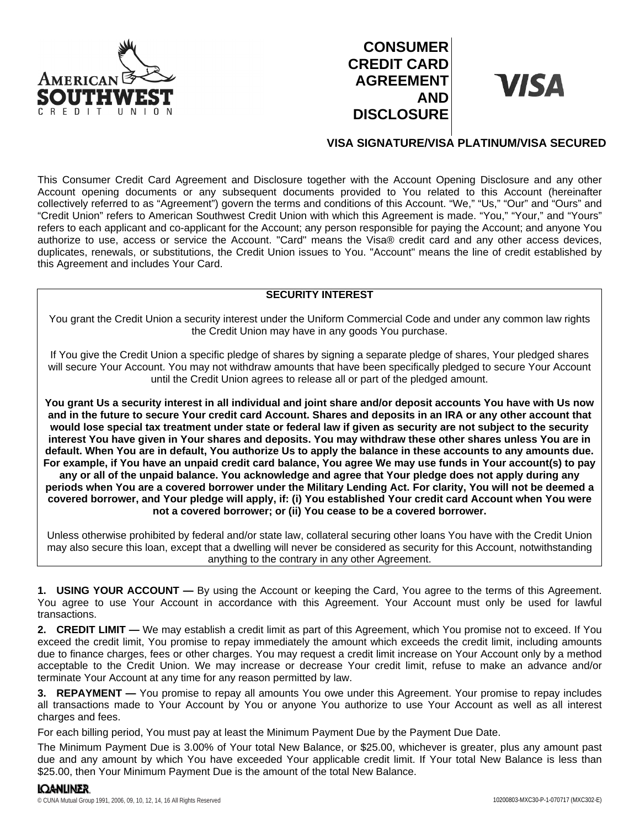

# **CONSUMER CREDIT CARD AGREEMENT AND DISCLOSURE**



## **VISA SIGNATURE/VISA PLATINUM/VISA SECURED**

This Consumer Credit Card Agreement and Disclosure together with the Account Opening Disclosure and any other Account opening documents or any subsequent documents provided to You related to this Account (hereinafter collectively referred to as "Agreement") govern the terms and conditions of this Account. "We," "Us," "Our" and "Ours" and "Credit Union" refers to American Southwest Credit Union with which this Agreement is made. "You," "Your," and "Yours" refers to each applicant and co-applicant for the Account; any person responsible for paying the Account; and anyone You authorize to use, access or service the Account. "Card" means the Visa® credit card and any other access devices, duplicates, renewals, or substitutions, the Credit Union issues to You. "Account" means the line of credit established by this Agreement and includes Your Card.

## **SECURITY INTEREST**

You grant the Credit Union a security interest under the Uniform Commercial Code and under any common law rights the Credit Union may have in any goods You purchase.

If You give the Credit Union a specific pledge of shares by signing a separate pledge of shares, Your pledged shares will secure Your Account. You may not withdraw amounts that have been specifically pledged to secure Your Account until the Credit Union agrees to release all or part of the pledged amount.

**You grant Us a security interest in all individual and joint share and/or deposit accounts You have with Us now and in the future to secure Your credit card Account. Shares and deposits in an IRA or any other account that would lose special tax treatment under state or federal law if given as security are not subject to the security interest You have given in Your shares and deposits. You may withdraw these other shares unless You are in default. When You are in default, You authorize Us to apply the balance in these accounts to any amounts due. For example, if You have an unpaid credit card balance, You agree We may use funds in Your account(s) to pay any or all of the unpaid balance. You acknowledge and agree that Your pledge does not apply during any periods when You are a covered borrower under the Military Lending Act. For clarity, You will not be deemed a covered borrower, and Your pledge will apply, if: (i) You established Your credit card Account when You were not a covered borrower; or (ii) You cease to be a covered borrower.**

Unless otherwise prohibited by federal and/or state law, collateral securing other loans You have with the Credit Union may also secure this loan, except that a dwelling will never be considered as security for this Account, notwithstanding anything to the contrary in any other Agreement.

**1. USING YOUR ACCOUNT —** By using the Account or keeping the Card, You agree to the terms of this Agreement. You agree to use Your Account in accordance with this Agreement. Your Account must only be used for lawful transactions.

**2. CREDIT LIMIT —** We may establish a credit limit as part of this Agreement, which You promise not to exceed. If You exceed the credit limit, You promise to repay immediately the amount which exceeds the credit limit, including amounts due to finance charges, fees or other charges. You may request a credit limit increase on Your Account only by a method acceptable to the Credit Union. We may increase or decrease Your credit limit, refuse to make an advance and/or terminate Your Account at any time for any reason permitted by law.

**3. REPAYMENT —** You promise to repay all amounts You owe under this Agreement. Your promise to repay includes all transactions made to Your Account by You or anyone You authorize to use Your Account as well as all interest charges and fees.

For each billing period, You must pay at least the Minimum Payment Due by the Payment Due Date.

The Minimum Payment Due is 3.00% of Your total New Balance, or \$25.00, whichever is greater, plus any amount past due and any amount by which You have exceeded Your applicable credit limit. If Your total New Balance is less than \$25.00, then Your Minimum Payment Due is the amount of the total New Balance.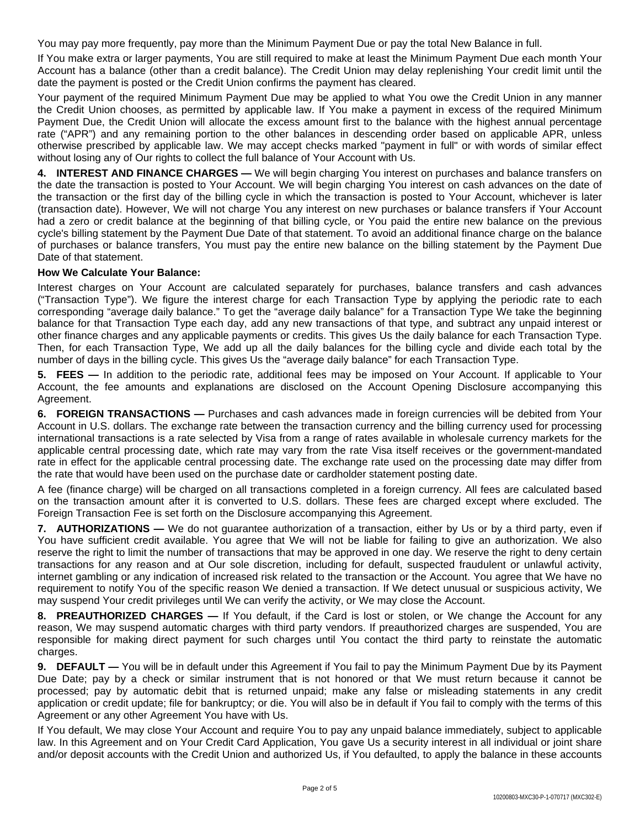You may pay more frequently, pay more than the Minimum Payment Due or pay the total New Balance in full.

If You make extra or larger payments, You are still required to make at least the Minimum Payment Due each month Your Account has a balance (other than a credit balance). The Credit Union may delay replenishing Your credit limit until the date the payment is posted or the Credit Union confirms the payment has cleared.

Your payment of the required Minimum Payment Due may be applied to what You owe the Credit Union in any manner the Credit Union chooses, as permitted by applicable law. If You make a payment in excess of the required Minimum Payment Due, the Credit Union will allocate the excess amount first to the balance with the highest annual percentage rate ("APR") and any remaining portion to the other balances in descending order based on applicable APR, unless otherwise prescribed by applicable law. We may accept checks marked "payment in full" or with words of similar effect without losing any of Our rights to collect the full balance of Your Account with Us.

**4. INTEREST AND FINANCE CHARGES —** We will begin charging You interest on purchases and balance transfers on the date the transaction is posted to Your Account. We will begin charging You interest on cash advances on the date of the transaction or the first day of the billing cycle in which the transaction is posted to Your Account, whichever is later (transaction date). However, We will not charge You any interest on new purchases or balance transfers if Your Account had a zero or credit balance at the beginning of that billing cycle, or You paid the entire new balance on the previous cycle's billing statement by the Payment Due Date of that statement. To avoid an additional finance charge on the balance of purchases or balance transfers, You must pay the entire new balance on the billing statement by the Payment Due Date of that statement.

## **How We Calculate Your Balance:**

Interest charges on Your Account are calculated separately for purchases, balance transfers and cash advances ("Transaction Type"). We figure the interest charge for each Transaction Type by applying the periodic rate to each corresponding "average daily balance." To get the "average daily balance" for a Transaction Type We take the beginning balance for that Transaction Type each day, add any new transactions of that type, and subtract any unpaid interest or other finance charges and any applicable payments or credits. This gives Us the daily balance for each Transaction Type. Then, for each Transaction Type, We add up all the daily balances for the billing cycle and divide each total by the number of days in the billing cycle. This gives Us the "average daily balance" for each Transaction Type.

**5. FEES —** In addition to the periodic rate, additional fees may be imposed on Your Account. If applicable to Your Account, the fee amounts and explanations are disclosed on the Account Opening Disclosure accompanying this Agreement.

**6. FOREIGN TRANSACTIONS —** Purchases and cash advances made in foreign currencies will be debited from Your Account in U.S. dollars. The exchange rate between the transaction currency and the billing currency used for processing international transactions is a rate selected by Visa from a range of rates available in wholesale currency markets for the applicable central processing date, which rate may vary from the rate Visa itself receives or the government-mandated rate in effect for the applicable central processing date. The exchange rate used on the processing date may differ from the rate that would have been used on the purchase date or cardholder statement posting date.

A fee (finance charge) will be charged on all transactions completed in a foreign currency. All fees are calculated based on the transaction amount after it is converted to U.S. dollars. These fees are charged except where excluded. The Foreign Transaction Fee is set forth on the Disclosure accompanying this Agreement.

**7. AUTHORIZATIONS —** We do not guarantee authorization of a transaction, either by Us or by a third party, even if You have sufficient credit available. You agree that We will not be liable for failing to give an authorization. We also reserve the right to limit the number of transactions that may be approved in one day. We reserve the right to deny certain transactions for any reason and at Our sole discretion, including for default, suspected fraudulent or unlawful activity, internet gambling or any indication of increased risk related to the transaction or the Account. You agree that We have no requirement to notify You of the specific reason We denied a transaction. If We detect unusual or suspicious activity, We may suspend Your credit privileges until We can verify the activity, or We may close the Account.

**8. PREAUTHORIZED CHARGES —** If You default, if the Card is lost or stolen, or We change the Account for any reason, We may suspend automatic charges with third party vendors. If preauthorized charges are suspended, You are responsible for making direct payment for such charges until You contact the third party to reinstate the automatic charges.

**9. DEFAULT —** You will be in default under this Agreement if You fail to pay the Minimum Payment Due by its Payment Due Date; pay by a check or similar instrument that is not honored or that We must return because it cannot be processed; pay by automatic debit that is returned unpaid; make any false or misleading statements in any credit application or credit update; file for bankruptcy; or die. You will also be in default if You fail to comply with the terms of this Agreement or any other Agreement You have with Us.

If You default, We may close Your Account and require You to pay any unpaid balance immediately, subject to applicable law. In this Agreement and on Your Credit Card Application, You gave Us a security interest in all individual or joint share and/or deposit accounts with the Credit Union and authorized Us, if You defaulted, to apply the balance in these accounts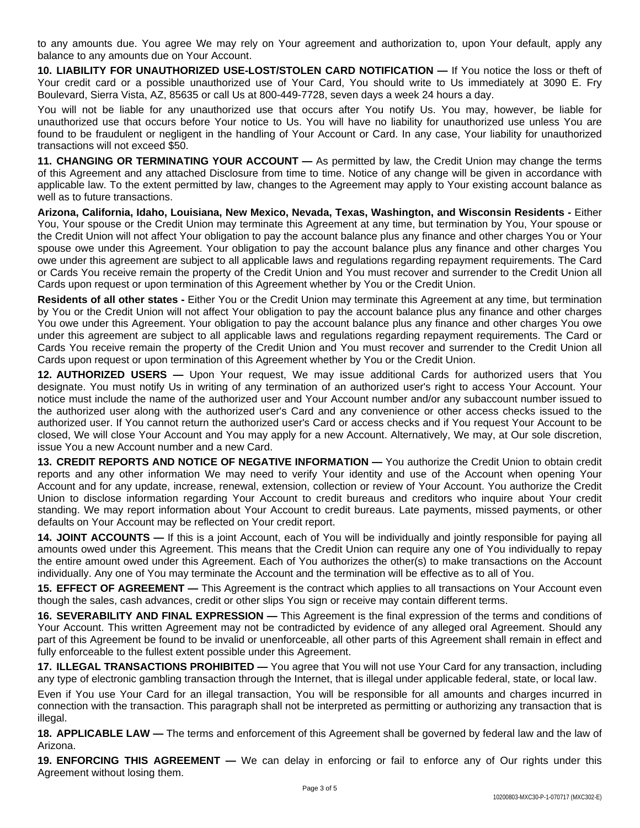to any amounts due. You agree We may rely on Your agreement and authorization to, upon Your default, apply any balance to any amounts due on Your Account.

**10. LIABILITY FOR UNAUTHORIZED USE-LOST/STOLEN CARD NOTIFICATION —** If You notice the loss or theft of Your credit card or a possible unauthorized use of Your Card, You should write to Us immediately at 3090 E. Fry Boulevard, Sierra Vista, AZ, 85635 or call Us at 800-449-7728, seven days a week 24 hours a day.

You will not be liable for any unauthorized use that occurs after You notify Us. You may, however, be liable for unauthorized use that occurs before Your notice to Us. You will have no liability for unauthorized use unless You are found to be fraudulent or negligent in the handling of Your Account or Card. In any case, Your liability for unauthorized transactions will not exceed \$50.

**11. CHANGING OR TERMINATING YOUR ACCOUNT —** As permitted by law, the Credit Union may change the terms of this Agreement and any attached Disclosure from time to time. Notice of any change will be given in accordance with applicable law. To the extent permitted by law, changes to the Agreement may apply to Your existing account balance as well as to future transactions.

**Arizona, California, Idaho, Louisiana, New Mexico, Nevada, Texas, Washington, and Wisconsin Residents -** Either You, Your spouse or the Credit Union may terminate this Agreement at any time, but termination by You, Your spouse or the Credit Union will not affect Your obligation to pay the account balance plus any finance and other charges You or Your spouse owe under this Agreement. Your obligation to pay the account balance plus any finance and other charges You owe under this agreement are subject to all applicable laws and regulations regarding repayment requirements. The Card or Cards You receive remain the property of the Credit Union and You must recover and surrender to the Credit Union all Cards upon request or upon termination of this Agreement whether by You or the Credit Union.

**Residents of all other states -** Either You or the Credit Union may terminate this Agreement at any time, but termination by You or the Credit Union will not affect Your obligation to pay the account balance plus any finance and other charges You owe under this Agreement. Your obligation to pay the account balance plus any finance and other charges You owe under this agreement are subject to all applicable laws and regulations regarding repayment requirements. The Card or Cards You receive remain the property of the Credit Union and You must recover and surrender to the Credit Union all Cards upon request or upon termination of this Agreement whether by You or the Credit Union.

**12. AUTHORIZED USERS —** Upon Your request, We may issue additional Cards for authorized users that You designate. You must notify Us in writing of any termination of an authorized user's right to access Your Account. Your notice must include the name of the authorized user and Your Account number and/or any subaccount number issued to the authorized user along with the authorized user's Card and any convenience or other access checks issued to the authorized user. If You cannot return the authorized user's Card or access checks and if You request Your Account to be closed, We will close Your Account and You may apply for a new Account. Alternatively, We may, at Our sole discretion, issue You a new Account number and a new Card.

**13. CREDIT REPORTS AND NOTICE OF NEGATIVE INFORMATION —** You authorize the Credit Union to obtain credit reports and any other information We may need to verify Your identity and use of the Account when opening Your Account and for any update, increase, renewal, extension, collection or review of Your Account. You authorize the Credit Union to disclose information regarding Your Account to credit bureaus and creditors who inquire about Your credit standing. We may report information about Your Account to credit bureaus. Late payments, missed payments, or other defaults on Your Account may be reflected on Your credit report.

**14. JOINT ACCOUNTS —** If this is a joint Account, each of You will be individually and jointly responsible for paying all amounts owed under this Agreement. This means that the Credit Union can require any one of You individually to repay the entire amount owed under this Agreement. Each of You authorizes the other(s) to make transactions on the Account individually. Any one of You may terminate the Account and the termination will be effective as to all of You.

**15. EFFECT OF AGREEMENT —** This Agreement is the contract which applies to all transactions on Your Account even though the sales, cash advances, credit or other slips You sign or receive may contain different terms.

**16. SEVERABILITY AND FINAL EXPRESSION —** This Agreement is the final expression of the terms and conditions of Your Account. This written Agreement may not be contradicted by evidence of any alleged oral Agreement. Should any part of this Agreement be found to be invalid or unenforceable, all other parts of this Agreement shall remain in effect and fully enforceable to the fullest extent possible under this Agreement.

**17. ILLEGAL TRANSACTIONS PROHIBITED —** You agree that You will not use Your Card for any transaction, including any type of electronic gambling transaction through the Internet, that is illegal under applicable federal, state, or local law.

Even if You use Your Card for an illegal transaction, You will be responsible for all amounts and charges incurred in connection with the transaction. This paragraph shall not be interpreted as permitting or authorizing any transaction that is illegal.

**18. APPLICABLE LAW —** The terms and enforcement of this Agreement shall be governed by federal law and the law of Arizona.

**19. ENFORCING THIS AGREEMENT —** We can delay in enforcing or fail to enforce any of Our rights under this Agreement without losing them.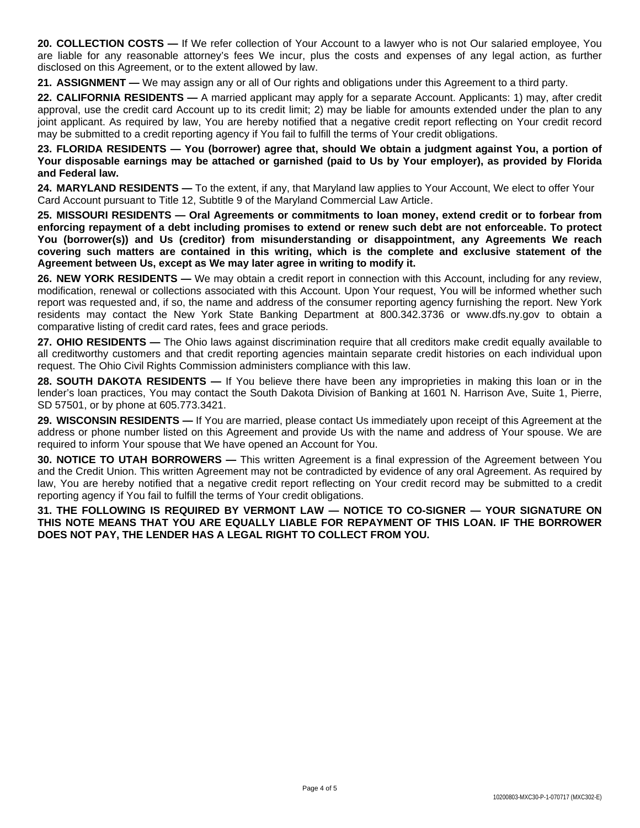**20. COLLECTION COSTS —** If We refer collection of Your Account to a lawyer who is not Our salaried employee, You are liable for any reasonable attorney's fees We incur, plus the costs and expenses of any legal action, as further disclosed on this Agreement, or to the extent allowed by law.

**21. ASSIGNMENT —** We may assign any or all of Our rights and obligations under this Agreement to a third party.

**22. CALIFORNIA RESIDENTS —** A married applicant may apply for a separate Account. Applicants: 1) may, after credit approval, use the credit card Account up to its credit limit; 2) may be liable for amounts extended under the plan to any joint applicant. As required by law, You are hereby notified that a negative credit report reflecting on Your credit record may be submitted to a credit reporting agency if You fail to fulfill the terms of Your credit obligations.

23. FLORIDA RESIDENTS - You (borrower) agree that, should We obtain a judgment against You, a portion of Your disposable earnings may be attached or garnished (paid to Us by Your employer), as provided by Florida **and Federal law.**

**24. MARYLAND RESIDENTS —** To the extent, if any, that Maryland law applies to Your Account, We elect to offer Your Card Account pursuant to Title 12, Subtitle 9 of the Maryland Commercial Law Article.

**25. MISSOURI RESIDENTS — Oral Agreements or commitments to loan money, extend credit or to forbear from** enforcing repayment of a debt including promises to extend or renew such debt are not enforceable. To protect **You (borrower(s)) and Us (creditor) from misunderstanding or disappointment, any Agreements We reach covering such matters are contained in this writing, which is the complete and exclusive statement of the Agreement between Us, except as We may later agree in writing to modify it.**

**26. NEW YORK RESIDENTS —** We may obtain a credit report in connection with this Account, including for any review, modification, renewal or collections associated with this Account. Upon Your request, You will be informed whether such report was requested and, if so, the name and address of the consumer reporting agency furnishing the report. New York residents may contact the New York State Banking Department at 800.342.3736 or www.dfs.ny.gov to obtain a comparative listing of credit card rates, fees and grace periods.

**27. OHIO RESIDENTS** — The Ohio laws against discrimination require that all creditors make credit equally available to all creditworthy customers and that credit reporting agencies maintain separate credit histories on each individual upon request. The Ohio Civil Rights Commission administers compliance with this law.

**28. SOUTH DAKOTA RESIDENTS —** If You believe there have been any improprieties in making this loan or in the lender's loan practices, You may contact the South Dakota Division of Banking at 1601 N. Harrison Ave, Suite 1, Pierre, SD 57501, or by phone at 605.773.3421.

**29. WISCONSIN RESIDENTS —** If You are married, please contact Us immediately upon receipt of this Agreement at the address or phone number listed on this Agreement and provide Us with the name and address of Your spouse. We are required to inform Your spouse that We have opened an Account for You.

**30. NOTICE TO UTAH BORROWERS —** This written Agreement is a final expression of the Agreement between You and the Credit Union. This written Agreement may not be contradicted by evidence of any oral Agreement. As required by law, You are hereby notified that a negative credit report reflecting on Your credit record may be submitted to a credit reporting agency if You fail to fulfill the terms of Your credit obligations.

**31. THE FOLLOWING IS REQUIRED BY VERMONT LAW — NOTICE TO CO-SIGNER — YOUR SIGNATURE ON THIS NOTE MEANS THAT YOU ARE EQUALLY LIABLE FOR REPAYMENT OF THIS LOAN. IF THE BORROWER DOES NOT PAY, THE LENDER HAS A LEGAL RIGHT TO COLLECT FROM YOU.**